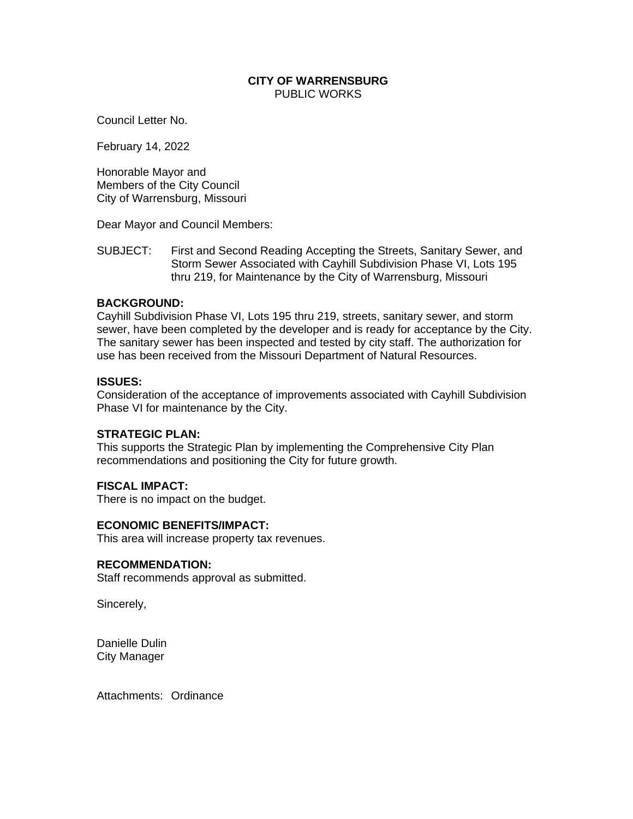# **CITY OF WARRENSBURG** PUBLIC WORKS

Council Letter No.

February 14, 2022

Honorable Mayor and Members of the City Council City of Warrensburg, Missouri

Dear Mayor and Council Members:

SUBJECT: First and Second Reading Accepting the Streets, Sanitary Sewer, and Storm Sewer Associated with Cayhill Subdivision Phase VI, Lots 195 thru 219, for Maintenance by the City of Warrensburg, Missouri

# **BACKGROUND:**

Cayhill Subdivision Phase VI, Lots 195 thru 219, streets, sanitary sewer, and storm sewer, have been completed by the developer and is ready for acceptance by the City. The sanitary sewer has been inspected and tested by city staff. The authorization for use has been received from the Missouri Department of Natural Resources.

## **ISSUES:**

Consideration of the acceptance of improvements associated with Cayhill Subdivision Phase VI for maintenance by the City.

### **STRATEGIC PLAN:**

This supports the Strategic Plan by implementing the Comprehensive City Plan recommendations and positioning the City for future growth.

### **FISCAL IMPACT:**

There is no impact on the budget.

### **ECONOMIC BENEFITS/IMPACT:**

This area will increase property tax revenues.

#### **RECOMMENDATION:**

Staff recommends approval as submitted.

Sincerely,

Danielle Dulin City Manager

Attachments: Ordinance